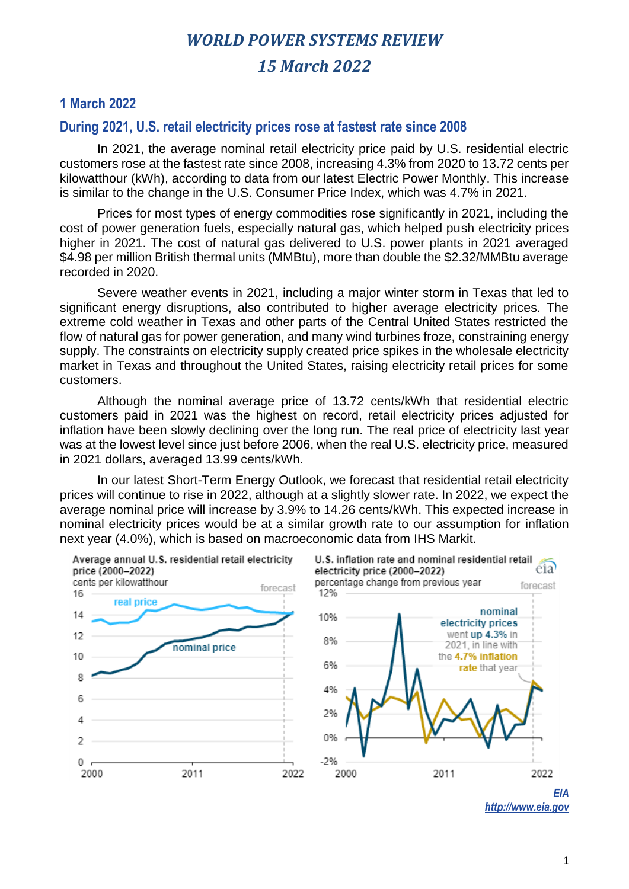## **1 March 2022**

#### **During 2021, U.S. retail electricity prices rose at fastest rate since 2008**

In 2021, the average nominal retail electricity price paid by U.S. residential electric customers rose at the fastest rate since 2008, increasing 4.3% from 2020 to 13.72 cents per kilowatthour (kWh), according to data from our latest Electric Power Monthly. This increase is similar to the change in the U.S. Consumer Price Index, which was 4.7% in 2021.

Prices for most types of energy commodities rose significantly in 2021, including the cost of power generation fuels, especially natural gas, which helped push electricity prices higher in 2021. The cost of natural gas delivered to U.S. power plants in 2021 averaged \$4.98 per million British thermal units (MMBtu), more than double the \$2.32/MMBtu average recorded in 2020.

Severe weather events in 2021, including a major winter storm in Texas that led to significant energy disruptions, also contributed to higher average electricity prices. The extreme cold weather in Texas and other parts of the Central United States restricted the flow of natural gas for power generation, and many wind turbines froze, constraining energy supply. The constraints on electricity supply created price spikes in the wholesale electricity market in Texas and throughout the United States, raising electricity retail prices for some customers.

Although the nominal average price of 13.72 cents/kWh that residential electric customers paid in 2021 was the highest on record, retail electricity prices adjusted for inflation have been slowly declining over the long run. The real price of electricity last year was at the lowest level since just before 2006, when the real U.S. electricity price, measured in 2021 dollars, averaged 13.99 cents/kWh.

In our latest Short-Term Energy Outlook, we forecast that residential retail electricity prices will continue to rise in 2022, although at a slightly slower rate. In 2022, we expect the average nominal price will increase by 3.9% to 14.26 cents/kWh. This expected increase in nominal electricity prices would be at a similar growth rate to our assumption for inflation next year (4.0%), which is based on macroeconomic data from IHS Markit.



*EIA http://www.eia.gov*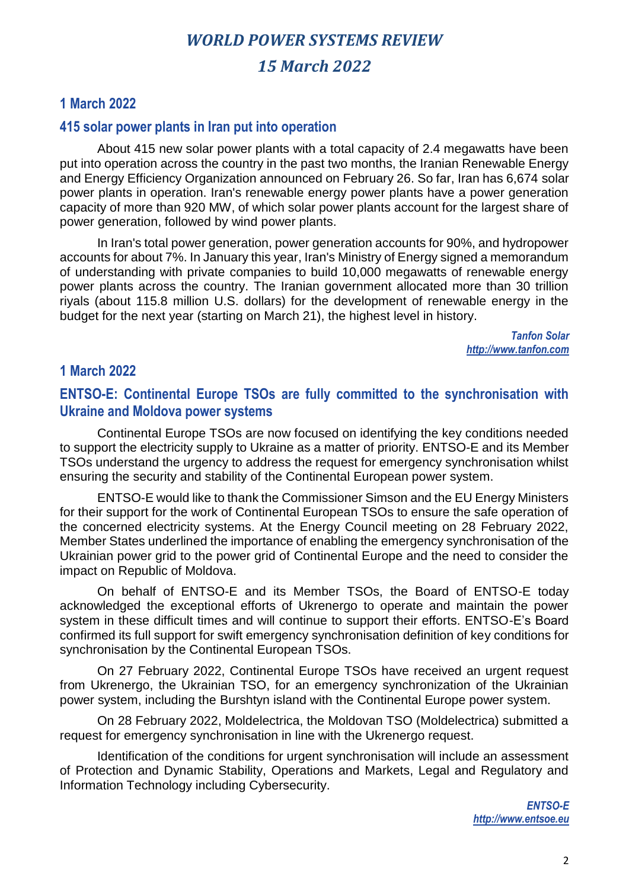## **1 March 2022**

## **415 solar power plants in Iran put into operation**

About 415 new solar power plants with a total capacity of 2.4 megawatts have been put into operation across the country in the past two months, the Iranian Renewable Energy and Energy Efficiency Organization announced on February 26. So far, Iran has 6,674 solar power plants in operation. Iran's renewable energy power plants have a power generation capacity of more than 920 MW, of which solar power plants account for the largest share of power generation, followed by wind power plants.

In Iran's total power generation, power generation accounts for 90%, and hydropower accounts for about 7%. In January this year, Iran's Ministry of Energy signed a memorandum of understanding with private companies to build 10,000 megawatts of renewable energy power plants across the country. The Iranian government allocated more than 30 trillion riyals (about 115.8 million U.S. dollars) for the development of renewable energy in the budget for the next year (starting on March 21), the highest level in history.

> *Tanfon Solar http://www.tanfon.com*

## **1 March 2022**

## **ENTSO-E: Continental Europe TSOs are fully committed to the synchronisation with Ukraine and Moldova power systems**

Continental Europe TSOs are now focused on identifying the key conditions needed to support the electricity supply to Ukraine as a matter of priority. ENTSO-E and its Member TSOs understand the urgency to address the request for emergency synchronisation whilst ensuring the security and stability of the Continental European power system.

ENTSO-E would like to thank the Commissioner Simson and the EU Energy Ministers for their support for the work of Continental European TSOs to ensure the safe operation of the concerned electricity systems. At the Energy Council meeting on 28 February 2022, Member States underlined the importance of enabling the emergency synchronisation of the Ukrainian power grid to the power grid of Continental Europe and the need to consider the impact on Republic of Moldova.

On behalf of ENTSO-E and its Member TSOs, the Board of ENTSO-E today acknowledged the exceptional efforts of Ukrenergo to operate and maintain the power system in these difficult times and will continue to support their efforts. ENTSO-E's Board confirmed its full support for swift emergency synchronisation definition of key conditions for synchronisation by the Continental European TSOs.

On 27 February 2022, Continental Europe TSOs have received an urgent request from Ukrenergo, the Ukrainian TSO, for an emergency synchronization of the Ukrainian power system, including the Burshtyn island with the Continental Europe power system.

On 28 February 2022, Moldelectrica, the Moldovan TSO (Moldelectrica) submitted a request for emergency synchronisation in line with the Ukrenergo request.

Identification of the conditions for urgent synchronisation will include an assessment of Protection and Dynamic Stability, Operations and Markets, Legal and Regulatory and Information Technology including Cybersecurity.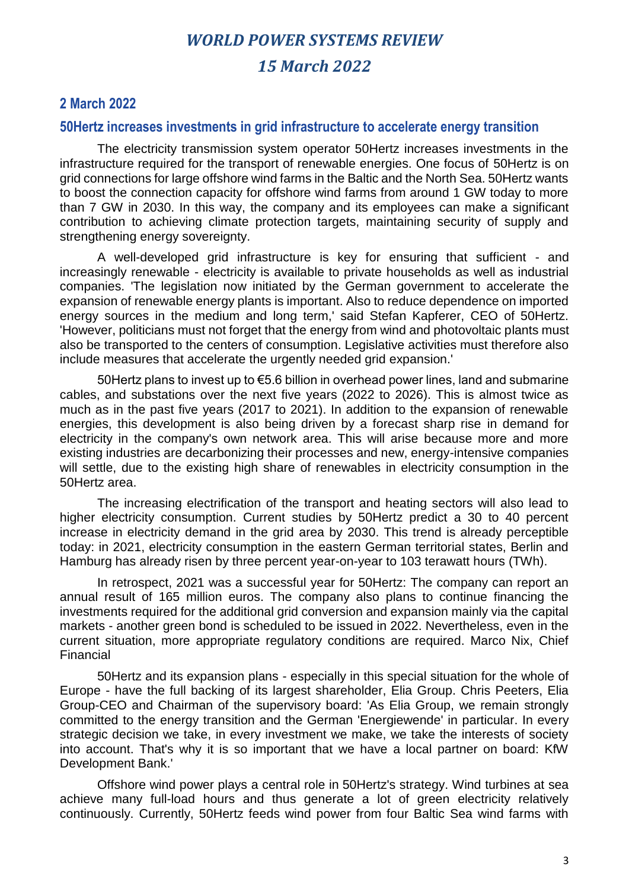## **2 March 2022**

#### **50Hertz increases investments in grid infrastructure to accelerate energy transition**

The electricity transmission system operator 50Hertz increases investments in the infrastructure required for the transport of renewable energies. One focus of 50Hertz is on grid connections for large offshore wind farms in the Baltic and the North Sea. 50Hertz wants to boost the connection capacity for offshore wind farms from around 1 GW today to more than 7 GW in 2030. In this way, the company and its employees can make a significant contribution to achieving climate protection targets, maintaining security of supply and strengthening energy sovereignty.

A well-developed grid infrastructure is key for ensuring that sufficient - and increasingly renewable - electricity is available to private households as well as industrial companies. 'The legislation now initiated by the German government to accelerate the expansion of renewable energy plants is important. Also to reduce dependence on imported energy sources in the medium and long term,' said Stefan Kapferer, CEO of 50Hertz. 'However, politicians must not forget that the energy from wind and photovoltaic plants must also be transported to the centers of consumption. Legislative activities must therefore also include measures that accelerate the urgently needed grid expansion.'

50Hertz plans to invest up to €5.6 billion in overhead power lines, land and submarine cables, and substations over the next five years (2022 to 2026). This is almost twice as much as in the past five years (2017 to 2021). In addition to the expansion of renewable energies, this development is also being driven by a forecast sharp rise in demand for electricity in the company's own network area. This will arise because more and more existing industries are decarbonizing their processes and new, energy-intensive companies will settle, due to the existing high share of renewables in electricity consumption in the 50Hertz area.

The increasing electrification of the transport and heating sectors will also lead to higher electricity consumption. Current studies by 50Hertz predict a 30 to 40 percent increase in electricity demand in the grid area by 2030. This trend is already perceptible today: in 2021, electricity consumption in the eastern German territorial states, Berlin and Hamburg has already risen by three percent year-on-year to 103 terawatt hours (TWh).

In retrospect, 2021 was a successful year for 50Hertz: The company can report an annual result of 165 million euros. The company also plans to continue financing the investments required for the additional grid conversion and expansion mainly via the capital markets - another green bond is scheduled to be issued in 2022. Nevertheless, even in the current situation, more appropriate regulatory conditions are required. Marco Nix, Chief Financial

50Hertz and its expansion plans - especially in this special situation for the whole of Europe - have the full backing of its largest shareholder, Elia Group. Chris Peeters, Elia Group-CEO and Chairman of the supervisory board: 'As Elia Group, we remain strongly committed to the energy transition and the German 'Energiewende' in particular. In every strategic decision we take, in every investment we make, we take the interests of society into account. That's why it is so important that we have a local partner on board: KfW Development Bank.'

Offshore wind power plays a central role in 50Hertz's strategy. Wind turbines at sea achieve many full-load hours and thus generate a lot of green electricity relatively continuously. Currently, 50Hertz feeds wind power from four Baltic Sea wind farms with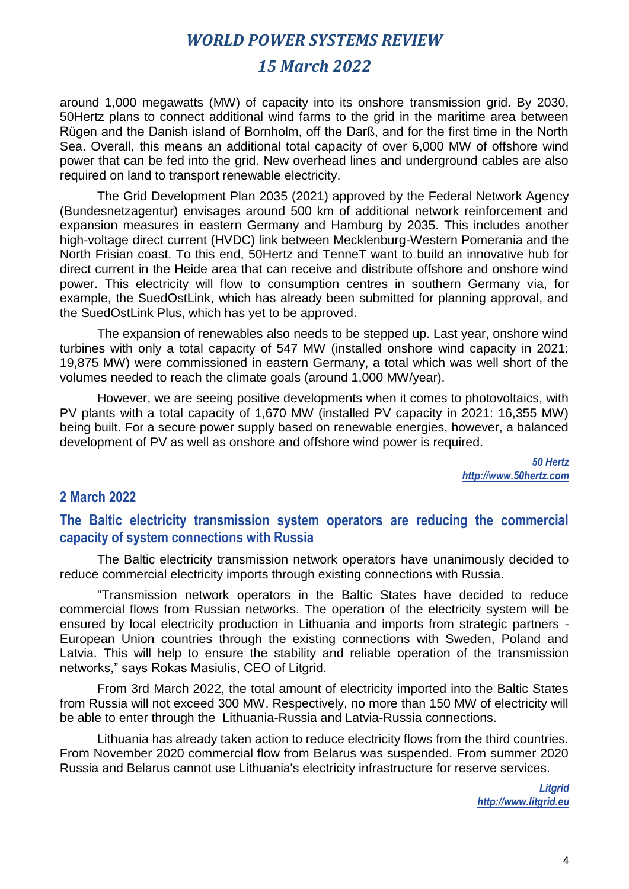## *15 March 2022*

around 1,000 megawatts (MW) of capacity into its onshore transmission grid. By 2030, 50Hertz plans to connect additional wind farms to the grid in the maritime area between Rügen and the Danish island of Bornholm, off the Darß, and for the first time in the North Sea. Overall, this means an additional total capacity of over 6,000 MW of offshore wind power that can be fed into the grid. New overhead lines and underground cables are also required on land to transport renewable electricity.

The Grid Development Plan 2035 (2021) approved by the Federal Network Agency (Bundesnetzagentur) envisages around 500 km of additional network reinforcement and expansion measures in eastern Germany and Hamburg by 2035. This includes another high-voltage direct current (HVDC) link between Mecklenburg-Western Pomerania and the North Frisian coast. To this end, 50Hertz and TenneT want to build an innovative hub for direct current in the Heide area that can receive and distribute offshore and onshore wind power. This electricity will flow to consumption centres in southern Germany via, for example, the SuedOstLink, which has already been submitted for planning approval, and the SuedOstLink Plus, which has yet to be approved.

The expansion of renewables also needs to be stepped up. Last year, onshore wind turbines with only a total capacity of 547 MW (installed onshore wind capacity in 2021: 19,875 MW) were commissioned in eastern Germany, a total which was well short of the volumes needed to reach the climate goals (around 1,000 MW/year).

However, we are seeing positive developments when it comes to photovoltaics, with PV plants with a total capacity of 1,670 MW (installed PV capacity in 2021: 16,355 MW) being built. For a secure power supply based on renewable energies, however, a balanced development of PV as well as onshore and offshore wind power is required.

> *50 Hertz http://www.50hertz.com*

#### **2 March 2022**

#### **The Baltic electricity transmission system operators are reducing the commercial capacity of system connections with Russia**

The Baltic electricity transmission network operators have unanimously decided to reduce commercial electricity imports through existing connections with Russia.

"Transmission network operators in the Baltic States have decided to reduce commercial flows from Russian networks. The operation of the electricity system will be ensured by local electricity production in Lithuania and imports from strategic partners - European Union countries through the existing connections with Sweden, Poland and Latvia. This will help to ensure the stability and reliable operation of the transmission networks," says Rokas Masiulis, CEO of Litgrid.

From 3rd March 2022, the total amount of electricity imported into the Baltic States from Russia will not exceed 300 MW. Respectively, no more than 150 MW of electricity will be able to enter through the Lithuania-Russia and Latvia-Russia connections.

Lithuania has already taken action to reduce electricity flows from the third countries. From November 2020 commercial flow from Belarus was suspended. From summer 2020 Russia and Belarus cannot use Lithuania's electricity infrastructure for reserve services.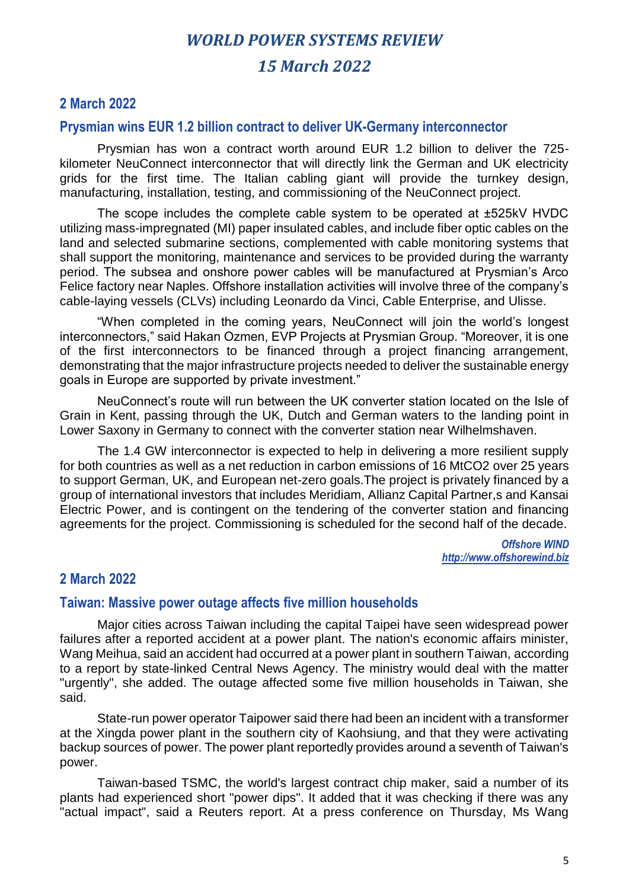## **2 March 2022**

#### **Prysmian wins EUR 1.2 billion contract to deliver UK-Germany interconnector**

Prysmian has won a contract worth around EUR 1.2 billion to deliver the 725 kilometer NeuConnect interconnector that will directly link the German and UK electricity grids for the first time. The Italian cabling giant will provide the turnkey design, manufacturing, installation, testing, and commissioning of the NeuConnect project.

The scope includes the complete cable system to be operated at ±525kV HVDC utilizing mass-impregnated (MI) paper insulated cables, and include fiber optic cables on the land and selected submarine sections, complemented with cable monitoring systems that shall support the monitoring, maintenance and services to be provided during the warranty period. The subsea and onshore power cables will be manufactured at Prysmian's Arco Felice factory near Naples. Offshore installation activities will involve three of the company's cable-laying vessels (CLVs) including Leonardo da Vinci, Cable Enterprise, and Ulisse.

"When completed in the coming years, NeuConnect will join the world's longest interconnectors," said Hakan Ozmen, EVP Projects at Prysmian Group. "Moreover, it is one of the first interconnectors to be financed through a project financing arrangement, demonstrating that the major infrastructure projects needed to deliver the sustainable energy goals in Europe are supported by private investment."

NeuConnect's route will run between the UK converter station located on the Isle of Grain in Kent, passing through the UK, Dutch and German waters to the landing point in Lower Saxony in Germany to connect with the converter station near Wilhelmshaven.

The 1.4 GW interconnector is expected to help in delivering a more resilient supply for both countries as well as a net reduction in carbon emissions of 16 MtCO2 over 25 years to support German, UK, and European net-zero goals.The project is privately financed by a group of international investors that includes Meridiam, Allianz Capital Partner,s and Kansai Electric Power, and is contingent on the tendering of the converter station and financing agreements for the project. Commissioning is scheduled for the second half of the decade.

> *Offshore WIND http://www.offshorewind.biz*

## **2 March 2022**

#### **Taiwan: Massive power outage affects five million households**

Major cities across Taiwan including the capital Taipei have seen widespread power failures after a reported accident at a power plant. The nation's economic affairs minister, Wang Meihua, said an accident had occurred at a power plant in southern Taiwan, according to a report by state-linked Central News Agency. The ministry would deal with the matter "urgently", she added. The outage affected some five million households in Taiwan, she said.

State-run power operator Taipower said there had been an incident with a transformer at the Xingda power plant in the southern city of Kaohsiung, and that they were activating backup sources of power. The power plant reportedly provides around a seventh of Taiwan's power.

Taiwan-based TSMC, the world's largest contract chip maker, said a number of its plants had experienced short "power dips". It added that it was checking if there was any "actual impact", said a Reuters report. At a press conference on Thursday, Ms Wang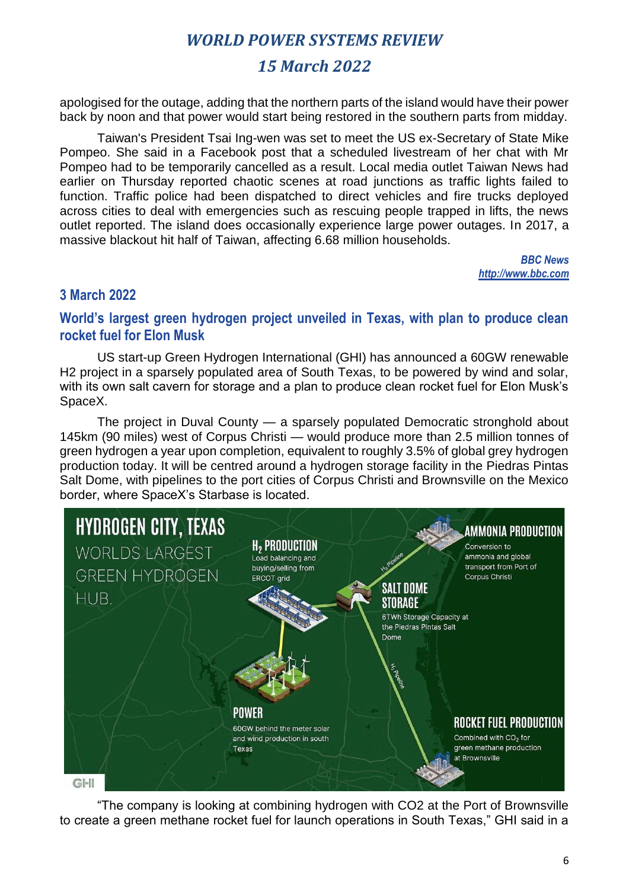## *15 March 2022*

apologised for the outage, adding that the northern parts of the island would have their power back by noon and that power would start being restored in the southern parts from midday.

Taiwan's President Tsai Ing-wen was set to meet the US ex-Secretary of State Mike Pompeo. She said in a Facebook post that a scheduled livestream of her chat with Mr Pompeo had to be temporarily cancelled as a result. Local media outlet Taiwan News had earlier on Thursday reported chaotic scenes at road junctions as traffic lights failed to function. Traffic police had been dispatched to direct vehicles and fire trucks deployed across cities to deal with emergencies such as rescuing people trapped in lifts, the news outlet reported. The island does occasionally experience large power outages. In 2017, a massive blackout hit half of Taiwan, affecting 6.68 million households.

> *BBC News http://www.bbc.com*

## **3 March 2022**

## **World's largest green hydrogen project unveiled in Texas, with plan to produce clean rocket fuel for Elon Musk**

US start-up Green Hydrogen International (GHI) has announced a 60GW renewable H2 project in a sparsely populated area of South Texas, to be powered by wind and solar, with its own salt cavern for storage and a plan to produce clean rocket fuel for Elon Musk's SpaceX.

The project in Duval County — a sparsely populated Democratic stronghold about 145km (90 miles) west of Corpus Christi — would produce more than 2.5 million tonnes of green hydrogen a year upon completion, equivalent to roughly 3.5% of global grey hydrogen production today. It will be centred around a hydrogen storage facility in the Piedras Pintas Salt Dome, with pipelines to the port cities of Corpus Christi and Brownsville on the Mexico border, where SpaceX's Starbase is located.



"The company is looking at combining hydrogen with CO2 at the Port of Brownsville to create a green methane rocket fuel for launch operations in South Texas," GHI said in a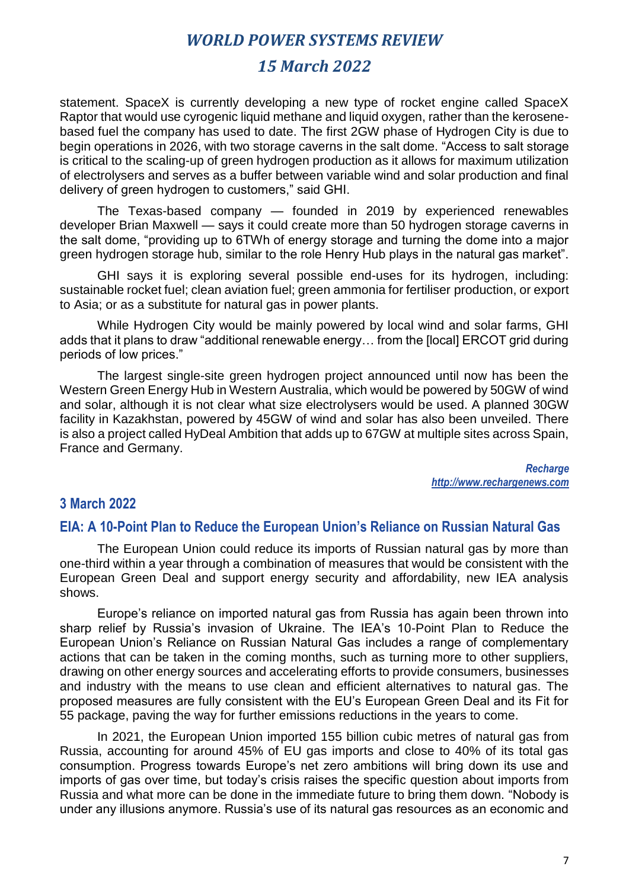## *15 March 2022*

statement. SpaceX is currently developing a new type of rocket engine called SpaceX Raptor that would use cyrogenic liquid methane and liquid oxygen, rather than the kerosenebased fuel the company has used to date. The first 2GW phase of Hydrogen City is due to begin operations in 2026, with two storage caverns in the salt dome. "Access to salt storage is critical to the scaling-up of green hydrogen production as it allows for maximum utilization of electrolysers and serves as a buffer between variable wind and solar production and final delivery of green hydrogen to customers," said GHI.

The Texas-based company — founded in 2019 by experienced renewables developer Brian Maxwell — says it could create more than 50 hydrogen storage caverns in the salt dome, "providing up to 6TWh of energy storage and turning the dome into a major green hydrogen storage hub, similar to the role Henry Hub plays in the natural gas market".

GHI says it is exploring several possible end-uses for its hydrogen, including: sustainable rocket fuel; clean aviation fuel; green ammonia for fertiliser production, or export to Asia; or as a substitute for natural gas in power plants.

While Hydrogen City would be mainly powered by local wind and solar farms, GHI adds that it plans to draw "additional renewable energy… from the [local] ERCOT grid during periods of low prices."

The largest single-site green hydrogen project announced until now has been the Western Green Energy Hub in Western Australia, which would be powered by 50GW of wind and solar, although it is not clear what size electrolysers would be used. A planned 30GW facility in Kazakhstan, powered by 45GW of wind and solar has also been unveiled. There is also a project called HyDeal Ambition that adds up to 67GW at multiple sites across Spain, France and Germany.

> *Recharge http://www.rechargenews.com*

#### **3 March 2022**

#### **EIA: A 10-Point Plan to Reduce the European Union's Reliance on Russian Natural Gas**

The European Union could reduce its imports of Russian natural gas by more than one-third within a year through a combination of measures that would be consistent with the European Green Deal and support energy security and affordability, new IEA analysis shows.

Europe's reliance on imported natural gas from Russia has again been thrown into sharp relief by Russia's invasion of Ukraine. The IEA's 10-Point Plan to Reduce the European Union's Reliance on Russian Natural Gas includes a range of complementary actions that can be taken in the coming months, such as turning more to other suppliers, drawing on other energy sources and accelerating efforts to provide consumers, businesses and industry with the means to use clean and efficient alternatives to natural gas. The proposed measures are fully consistent with the EU's European Green Deal and its Fit for 55 package, paving the way for further emissions reductions in the years to come.

In 2021, the European Union imported 155 billion cubic metres of natural gas from Russia, accounting for around 45% of EU gas imports and close to 40% of its total gas consumption. Progress towards Europe's net zero ambitions will bring down its use and imports of gas over time, but today's crisis raises the specific question about imports from Russia and what more can be done in the immediate future to bring them down. "Nobody is under any illusions anymore. Russia's use of its natural gas resources as an economic and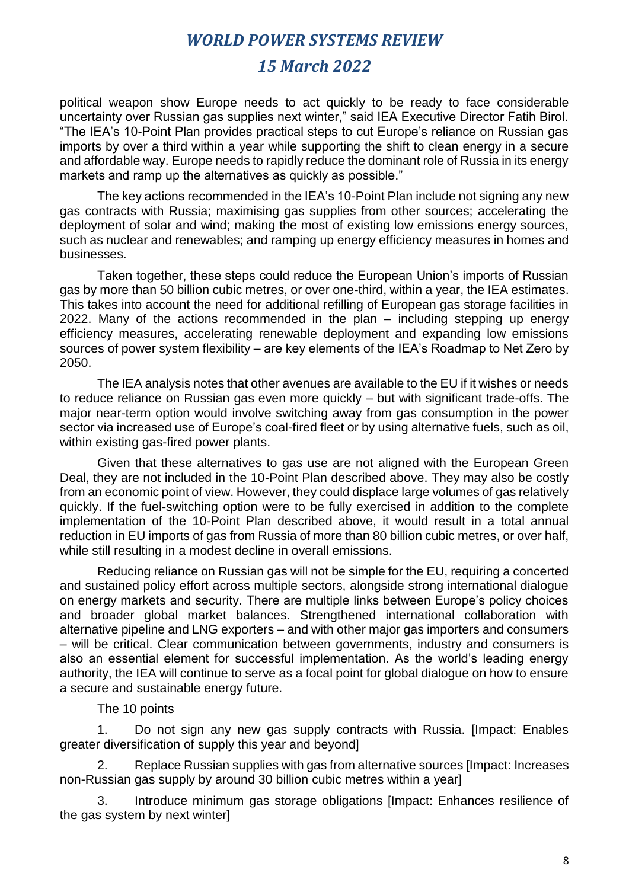## *15 March 2022*

political weapon show Europe needs to act quickly to be ready to face considerable uncertainty over Russian gas supplies next winter," said IEA Executive Director Fatih Birol. "The IEA's 10-Point Plan provides practical steps to cut Europe's reliance on Russian gas imports by over a third within a year while supporting the shift to clean energy in a secure and affordable way. Europe needs to rapidly reduce the dominant role of Russia in its energy markets and ramp up the alternatives as quickly as possible."

The key actions recommended in the IEA's 10-Point Plan include not signing any new gas contracts with Russia; maximising gas supplies from other sources; accelerating the deployment of solar and wind; making the most of existing low emissions energy sources, such as nuclear and renewables; and ramping up energy efficiency measures in homes and businesses.

Taken together, these steps could reduce the European Union's imports of Russian gas by more than 50 billion cubic metres, or over one-third, within a year, the IEA estimates. This takes into account the need for additional refilling of European gas storage facilities in 2022. Many of the actions recommended in the plan – including stepping up energy efficiency measures, accelerating renewable deployment and expanding low emissions sources of power system flexibility – are key elements of the IEA's Roadmap to Net Zero by 2050.

The IEA analysis notes that other avenues are available to the EU if it wishes or needs to reduce reliance on Russian gas even more quickly – but with significant trade-offs. The major near-term option would involve switching away from gas consumption in the power sector via increased use of Europe's coal-fired fleet or by using alternative fuels, such as oil, within existing gas-fired power plants.

Given that these alternatives to gas use are not aligned with the European Green Deal, they are not included in the 10-Point Plan described above. They may also be costly from an economic point of view. However, they could displace large volumes of gas relatively quickly. If the fuel-switching option were to be fully exercised in addition to the complete implementation of the 10-Point Plan described above, it would result in a total annual reduction in EU imports of gas from Russia of more than 80 billion cubic metres, or over half, while still resulting in a modest decline in overall emissions.

Reducing reliance on Russian gas will not be simple for the EU, requiring a concerted and sustained policy effort across multiple sectors, alongside strong international dialogue on energy markets and security. There are multiple links between Europe's policy choices and broader global market balances. Strengthened international collaboration with alternative pipeline and LNG exporters – and with other major gas importers and consumers – will be critical. Clear communication between governments, industry and consumers is also an essential element for successful implementation. As the world's leading energy authority, the IEA will continue to serve as a focal point for global dialogue on how to ensure a secure and sustainable energy future.

The 10 points

1. Do not sign any new gas supply contracts with Russia. [Impact: Enables greater diversification of supply this year and beyond]

2. Replace Russian supplies with gas from alternative sources [Impact: Increases non-Russian gas supply by around 30 billion cubic metres within a year]

3. Introduce minimum gas storage obligations [Impact: Enhances resilience of the gas system by next winter]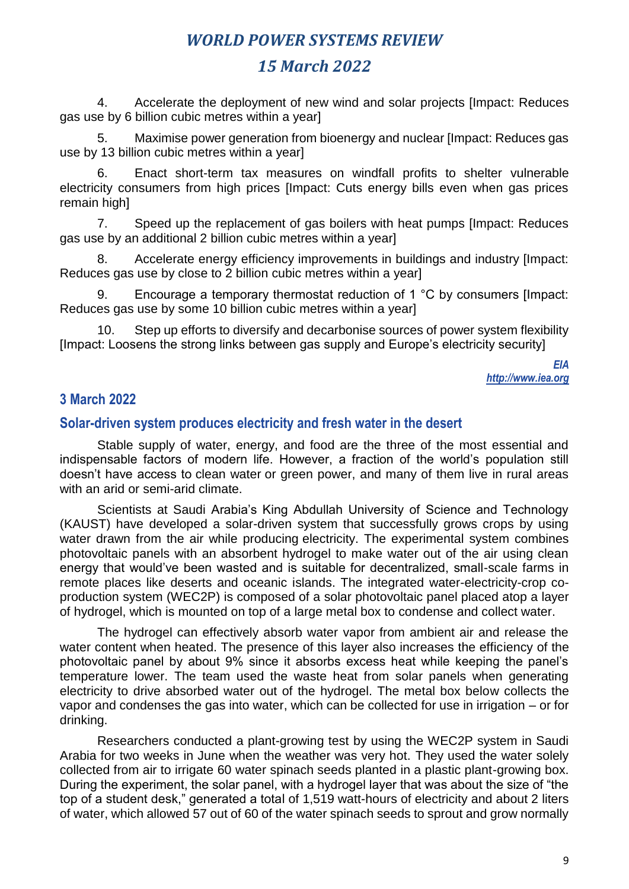## *15 March 2022*

4. Accelerate the deployment of new wind and solar projects [Impact: Reduces gas use by 6 billion cubic metres within a year]

5. Maximise power generation from bioenergy and nuclear [Impact: Reduces gas use by 13 billion cubic metres within a year]

6. Enact short-term tax measures on windfall profits to shelter vulnerable electricity consumers from high prices [Impact: Cuts energy bills even when gas prices remain high]

7. Speed up the replacement of gas boilers with heat pumps [Impact: Reduces gas use by an additional 2 billion cubic metres within a year]

8. Accelerate energy efficiency improvements in buildings and industry [Impact: Reduces gas use by close to 2 billion cubic metres within a year]

9. Encourage a temporary thermostat reduction of 1 °C by consumers [Impact: Reduces gas use by some 10 billion cubic metres within a year]

10. Step up efforts to diversify and decarbonise sources of power system flexibility [Impact: Loosens the strong links between gas supply and Europe's electricity security]

> *EIA [http://www.iea.org](http://www.iea.org/)*

## **3 March 2022**

## **Solar-driven system produces electricity and fresh water in the desert**

Stable supply of water, energy, and food are the three of the most essential and indispensable factors of modern life. However, a fraction of the world's population still doesn't have access to [clean water](https://www.inceptivemind.com/solar-desalination-device-provide-clean-water-400000-kenyans/21564/) or green power, and many of them live in rural areas with an arid or semi-arid climate.

Scientists at Saudi Arabia's King Abdullah University of Science and Technology (KAUST) have developed a solar-driven system that successfully grows crops by using water drawn from the air while producing [electricity.](https://www.inceptivemind.com/tag/electricity/) The experimental system combines photovoltaic panels with an absorbent hydrogel to make water out of the air using clean energy that would've been wasted and is suitable for decentralized, small-scale farms in remote places like deserts and oceanic islands. The integrated water-electricity-crop coproduction system (WEC2P) is composed of a [solar photovoltaic panel](https://www.inceptivemind.com/solar-panel-covered-sun-rock-generate-1-million-kwh-clean-energy-per-year/22989/) placed atop a layer of hydrogel, which is mounted on top of a large metal box to condense and collect water.

The hydrogel can effectively absorb water vapor from ambient air and release the water content when heated. The presence of this layer also increases the efficiency of the photovoltaic panel by about 9% since it absorbs excess heat while keeping the panel's temperature lower. The team used the waste heat from solar panels when generating electricity to drive absorbed water out of the hydrogel. The metal box below collects the vapor and condenses the gas into water, which can be collected for use in irrigation – or for drinking.

Researchers conducted a plant-growing test by using the WEC2P system in Saudi Arabia for two weeks in June when the weather was very hot. They used the water solely collected from air to irrigate 60 water spinach seeds planted in a plastic plant-growing box. During the experiment, the solar panel, with a hydrogel layer that was about the size of "the top of a student desk," generated a total of 1,519 watt-hours of electricity and about 2 liters of water, which allowed 57 out of 60 of the water spinach seeds to sprout and grow normally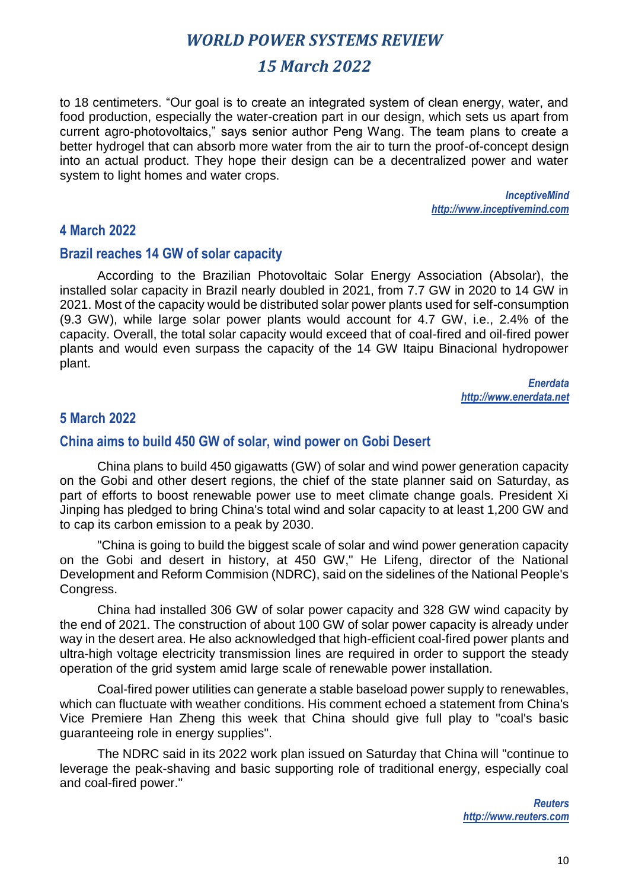## *15 March 2022*

to 18 centimeters. "Our goal is to create an integrated system of clean energy, water, and food production, especially the water-creation part in our design, which sets us apart from current agro-photovoltaics," says senior author Peng Wang. The team plans to create a better hydrogel that can absorb more water from the air to turn the proof-of-concept design into an actual product. They hope their design can be a decentralized power and water system to light homes and water crops.

> *InceptiveMind http://www.inceptivemind.com*

#### **4 March 2022**

#### **Brazil reaches 14 GW of solar capacity**

According to the Brazilian Photovoltaic Solar Energy Association (Absolar), the installed solar capacity in Brazil nearly doubled in 2021, from 7.7 GW in 2020 to 14 GW in 2021. Most of the capacity would be distributed solar power plants used for self-consumption (9.3 GW), while large solar power plants would account for 4.7 GW, i.e., 2.4% of the capacity. Overall, the total solar capacity would exceed that of coal-fired and oil-fired power plants and would even surpass the capacity of the 14 GW Itaipu Binacional hydropower plant.

> *Enerdata http://www.enerdata.net*

## **5 March 2022**

#### **China aims to build 450 GW of solar, wind power on Gobi Desert**

China plans to build 450 gigawatts (GW) of solar and wind power generation capacity on the Gobi and other desert regions, the chief of the state planner said on Saturday, as part of efforts to boost renewable power use to meet climate change goals. President Xi Jinping has pledged to bring China's total wind and solar capacity to at least 1,200 GW and to cap its carbon emission to a peak by 2030.

"China is going to build the biggest scale of solar and wind power generation capacity on the Gobi and desert in history, at 450 GW," He Lifeng, director of the National Development and Reform Commision (NDRC), said on the sidelines of the National People's Congress.

China had installed 306 GW of solar power capacity and 328 GW wind capacity by the end of 2021. The construction of about 100 GW of solar power capacity is already under way in the desert area. He also acknowledged that high-efficient coal-fired power plants and ultra-high voltage electricity transmission lines are required in order to support the steady operation of the grid system amid large scale of renewable power installation.

Coal-fired power utilities can generate a stable baseload power supply to renewables, which can fluctuate with weather conditions. His comment echoed a statement from China's Vice Premiere Han Zheng this week that China should give full play to "coal's basic guaranteeing role in energy supplies".

The NDRC said in its 2022 work plan issued on Saturday that China will "continue to leverage the peak-shaving and basic supporting role of traditional energy, especially coal and coal-fired power."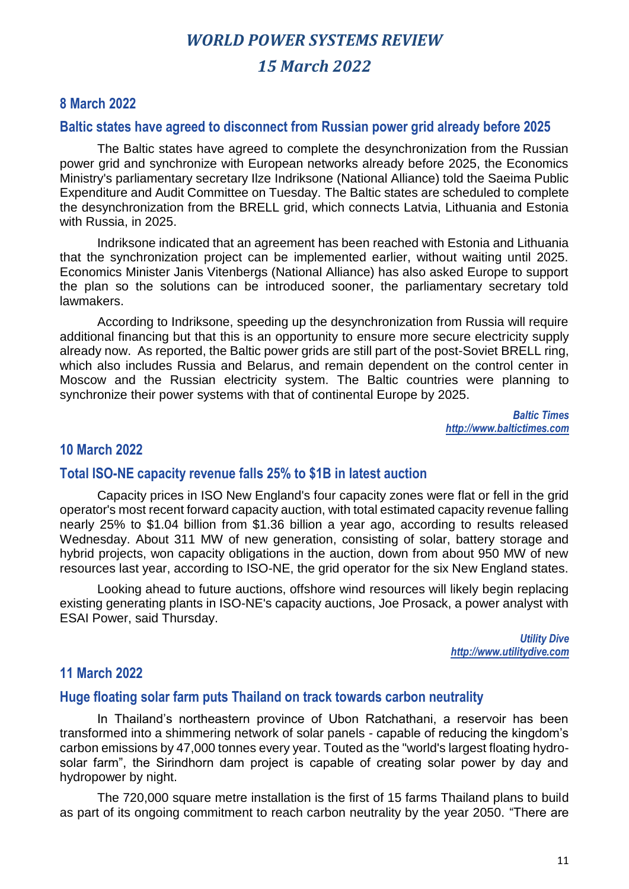## **8 March 2022**

#### **Baltic states have agreed to disconnect from Russian power grid already before 2025**

The Baltic states have agreed to complete the desynchronization from the Russian power grid and synchronize with European networks already before 2025, the Economics Ministry's parliamentary secretary Ilze Indriksone (National Alliance) told the Saeima Public Expenditure and Audit Committee on Tuesday. The Baltic states are scheduled to complete the desynchronization from the BRELL grid, which connects Latvia, Lithuania and Estonia with Russia, in 2025.

Indriksone indicated that an agreement has been reached with Estonia and Lithuania that the synchronization project can be implemented earlier, without waiting until 2025. Economics Minister Janis Vitenbergs (National Alliance) has also asked Europe to support the plan so the solutions can be introduced sooner, the parliamentary secretary told lawmakers.

According to Indriksone, speeding up the desynchronization from Russia will require additional financing but that this is an opportunity to ensure more secure electricity supply already now. As reported, the Baltic power grids are still part of the post-Soviet BRELL ring, which also includes Russia and Belarus, and remain dependent on the control center in Moscow and the Russian electricity system. The Baltic countries were planning to synchronize their power systems with that of continental Europe by 2025.

> *Baltic Times http://www.baltictimes.com*

## **10 March 2022**

## **Total ISO-NE capacity revenue falls 25% to \$1B in latest auction**

Capacity prices in ISO New England's four capacity zones were flat or fell in the grid operator's most recent forward capacity auction, with total estimated capacity revenue falling nearly 25% to \$1.04 billion from \$1.36 billion a year ago, according to results released Wednesday. About 311 MW of new generation, consisting of solar, battery storage and hybrid projects, won capacity obligations in the auction, down from about 950 MW of new resources last year, according to ISO-NE, the grid operator for the six New England states.

Looking ahead to future auctions, offshore wind resources will likely begin replacing existing generating plants in ISO-NE's capacity auctions, Joe Prosack, a power analyst with ESAI Power, said Thursday.

> *Utility Dive http://www.utilitydive.com*

## **11 March 2022**

#### **Huge floating solar farm puts Thailand on track towards carbon neutrality**

In Thailand's northeastern province of Ubon Ratchathani, a reservoir has been transformed into a shimmering network of solar panels - capable of reducing the kingdom's carbon emissions by 47,000 tonnes every year. Touted as the "world's largest floating hydrosolar farm", the Sirindhorn dam project is capable of creating solar power by day and hydropower by night.

The 720,000 square metre installation is the first of 15 farms Thailand plans to build as part of its ongoing commitment to reach carbon neutrality by the year 2050. "There are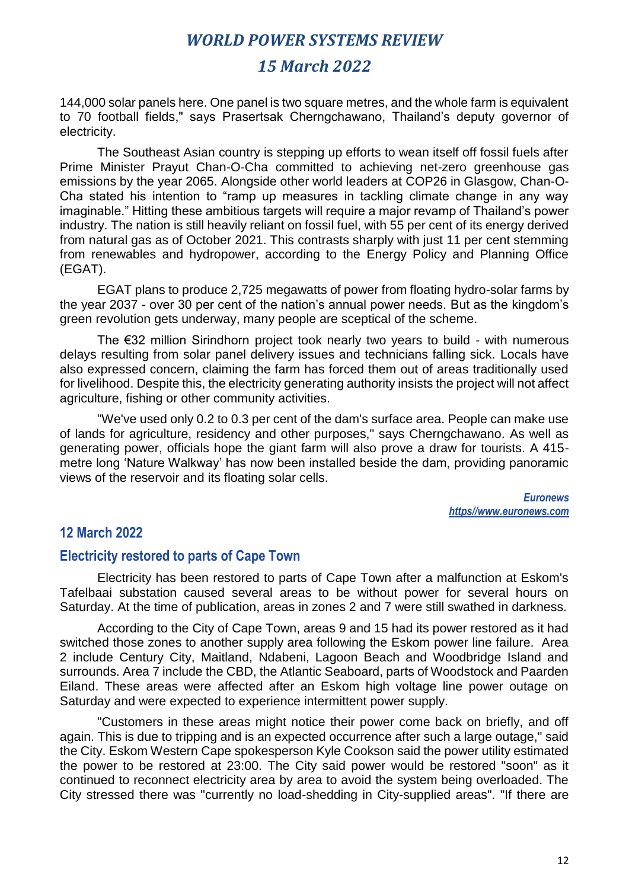## *15 March 2022*

144,000 solar panels here. One panel is two square metres, and the whole farm is equivalent to 70 football fields," says Prasertsak Cherngchawano, Thailand's deputy governor of electricity.

The Southeast Asian country is stepping up efforts to wean itself off fossil fuels after Prime Minister Prayut Chan-O-Cha committed to achieving net-zero greenhouse gas emissions by the year 2065. Alongside other world leaders at COP26 in Glasgow, Chan-O-Cha stated his intention to "ramp up measures in tackling climate change in any way imaginable." Hitting these ambitious targets will require a major revamp of Thailand's power industry. The nation is still heavily reliant on fossil fuel, with 55 per cent of its energy derived from natural gas as of October 2021. This contrasts sharply with just 11 per cent stemming from renewables and hydropower, according to the Energy Policy and Planning Office (EGAT).

EGAT plans to produce 2,725 megawatts of power from floating hydro-solar farms by the year 2037 - over 30 per cent of the nation's annual power needs. But as the kingdom's green revolution gets underway, many people are sceptical of the scheme.

The €32 million Sirindhorn project took nearly two years to build - with numerous delays resulting from solar panel delivery issues and technicians falling sick. Locals have also expressed concern, claiming the farm has forced them out of areas traditionally used for livelihood. Despite this, the electricity generating authority insists the project will not affect agriculture, fishing or other community activities.

"We've used only 0.2 to 0.3 per cent of the dam's surface area. People can make use of lands for agriculture, residency and other purposes," says Cherngchawano. As well as generating power, officials hope the giant farm will also prove a draw for tourists. A 415 metre long 'Nature Walkway' has now been installed beside the dam, providing panoramic views of the reservoir and its floating solar cells.

> *Euronews https//www.euronews.com*

## **12 March 2022**

#### **Electricity restored to parts of Cape Town**

Electricity has been restored to parts of Cape Town after a malfunction at Eskom's Tafelbaai substation caused several areas to be without power for several hours on Saturday. At the time of publication, areas in zones 2 and 7 were still swathed in darkness.

According to the City of Cape Town, areas 9 and 15 had its power restored as it had switched those zones to another supply area following the Eskom power line failure. Area 2 include Century City, Maitland, Ndabeni, Lagoon Beach and Woodbridge Island and surrounds. Area 7 include the CBD, the Atlantic Seaboard, parts of Woodstock and Paarden Eiland. These areas were affected after an Eskom high voltage line power outage on Saturday and were expected to experience intermittent power supply.

"Customers in these areas might notice their power come back on briefly, and off again. This is due to tripping and is an expected occurrence after such a large outage," said the City. Eskom Western Cape spokesperson Kyle Cookson said the power utility estimated the power to be restored at 23:00. The City said power would be restored "soon" as it continued to reconnect electricity area by area to avoid the system being overloaded. The City stressed there was "currently no load-shedding in City-supplied areas". "If there are